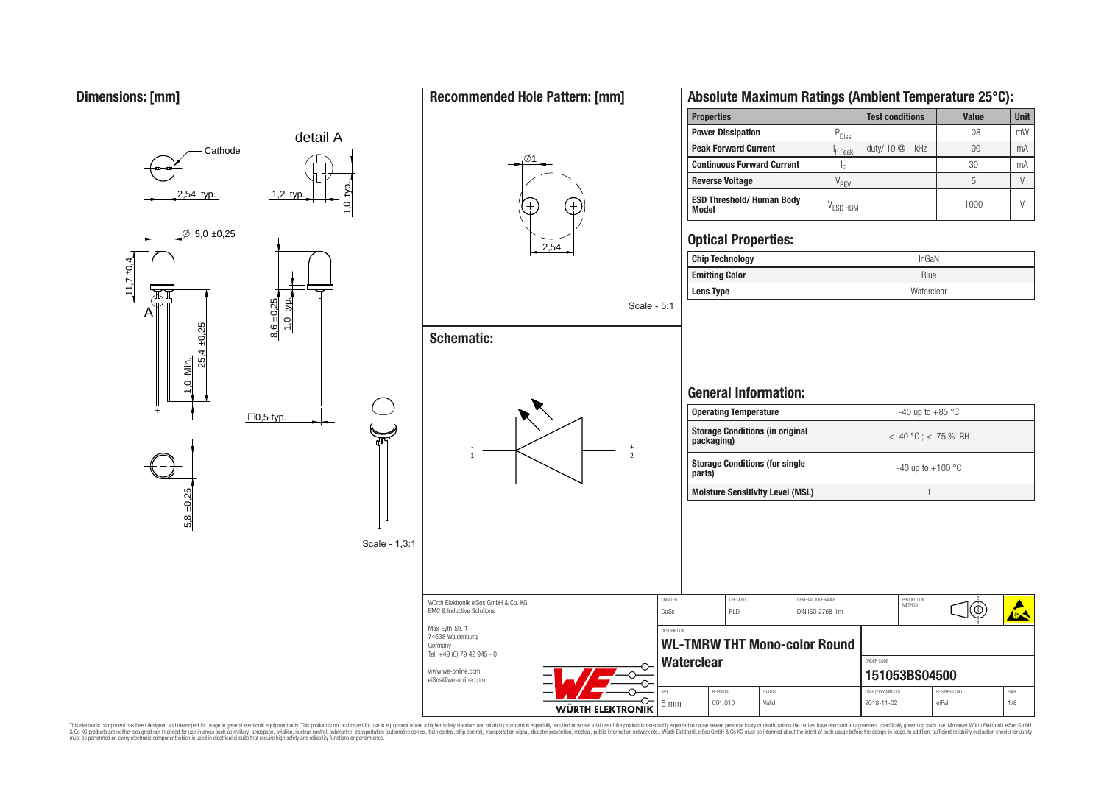$11,710,4$ 

A

 $\emptyset$  5,0 ±0,25

54 typ.

**Cathode** 

25,4 ±0,25

1,0 Min.

 $\frac{q_0}{q_0}$   $\frac{q_1}{q_2}$   $\frac{q_2}{q_3}$   $\frac{q_3}{q_4}$   $\frac{q_5}{q_6}$   $\frac{q_6}{q_7}$   $\frac{q_7}{q_8}$ 

detail A

1,0 typ.

Scale - 1,3:1

1,2 typ.

5,8 ±0,25

+ -

## **Recommended Hole Pattern: [mm]**



Scale - 5:1

# **Schematic:**

Würth Elektronik eiSos GmbH & Co. KG EMC & Inductive Solutions Max-Eyth-Str. 1 74638 Waldenburg Germany



# **Absolute Maximum Ratings (Ambient Temperature 25°C):**

| <b>Properties</b>                                |                       | <b>Test conditions</b> | Value | <b>Unit</b> |
|--------------------------------------------------|-----------------------|------------------------|-------|-------------|
| <b>Power Dissipation</b>                         | $P_{\overline{O}$ iss |                        | 108   | mW          |
| <b>Peak Forward Current</b>                      | <sup>I</sup> F Peak   | duty/ 10 @ 1 kHz       | 100   | mA          |
| <b>Continuous Forward Current</b>                | ΙĘ                    |                        | 30    | mA          |
| <b>Reverse Voltage</b>                           | V <sub>rev</sub>      |                        |       |             |
| <b>ESD Threshold/ Human Body</b><br><b>Model</b> | $V_{\text{FSD HBM}}$  |                        | 1000  | V           |

## **Optical Properties:**

| <b>Chip Technology</b> | InGAN      |
|------------------------|------------|
| <b>Emitting Color</b>  | Blue       |
| <b>Lens Type</b>       | Waterclear |
|                        |            |

| <b>Operating Temperature</b>                         | $-40$ up to $+85$ °C   |
|------------------------------------------------------|------------------------|
|                                                      |                        |
| <b>Storage Conditions (in original</b><br>packaging) | $<$ 40 °C; $<$ 75 % RH |
| <b>Storage Conditions (for single)</b><br>parts)     | $-40$ up to $+100$ °C  |
| <b>Moisture Sensitivity Level (MSL)</b>              |                        |

PROJECTION<br>METHOD

⊕

**ARA** 

CREATED CHECKED GENERAL TOLERANCE PROJECTION

DaSc PLD DIN ISO 2768-1m

**WL-TMRW THT Mono-color Round**

DESCRIPTION

Tel. +49 (0) 79 42 945 - 0 Waterclear **CONDER CODER CODER CODER CODER** www.we-online.com **151053BS04500** eiSos@we-online.com SIZE REVISION STATUS DATE (YYYY-MM-DD) BUSINESS UNIT PAGE ᡐ 5 mm 001.010 Valid 2018-11-02 eiPal 1/8 WÜRTH ELEKTRONIK

This electronic component has been designed and developed for usage in general electronic equipment only. This product is not authorized for subserved requipment where a higher selection equipment where a higher selection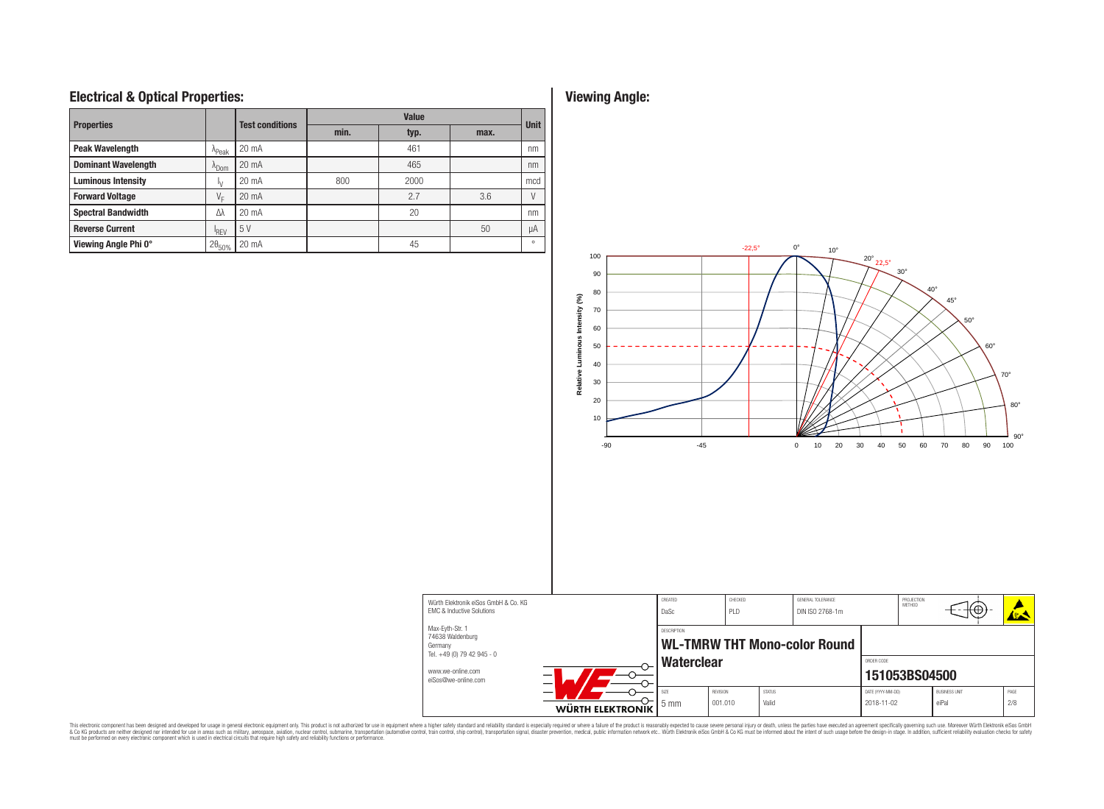## **Electrical & Optical Properties: Viewing Angle:**

| <b>Properties</b>                                                                                               |                   | <b>Test conditions</b> | <b>Value</b> |      |          |             |  |  |
|-----------------------------------------------------------------------------------------------------------------|-------------------|------------------------|--------------|------|----------|-------------|--|--|
|                                                                                                                 |                   |                        | min.         | typ. | max.     | <b>Unit</b> |  |  |
| <b>Peak Wavelength</b>                                                                                          | <sup>A</sup> Peak | $20 \text{ mA}$        |              | 461  |          | nm          |  |  |
| <b>Dominant Wavelength</b><br>^Dom<br><b>Luminous Intensity</b><br>Ιν<br><b>Forward Voltage</b><br>VE           |                   | $20 \text{ mA}$        |              | 465  |          | nm          |  |  |
|                                                                                                                 |                   | 20 mA                  | 800          | 2000 |          | mcd         |  |  |
|                                                                                                                 |                   | 20 mA                  |              | 2.7  | 3.6      |             |  |  |
| <b>Spectral Bandwidth</b>                                                                                       | Λλ                | $20 \text{ mA}$        |              | 20   |          | nm          |  |  |
| 5V<br><b>Reverse Current</b><br><sup>I</sup> RFV<br>Viewing Angle Phi 0°<br>$2\theta_{50\%}$<br>$20 \text{ mA}$ |                   |                        |              |      | 50       | μA          |  |  |
|                                                                                                                 |                   |                        | 45           |      | $\Omega$ |             |  |  |



This electronic component has been designed and developed for usage in general electronic equipment only. This product is not authorized for subserved requipment where a higher selection equipment where a higher selection

EMC & Inductive Solutions Max-Eyth-Str. 1 74638 Waldenburg Germany

Tel.  $+49(0)$  79 42 945 - 0 www.we-online.com eiSos@we-online.com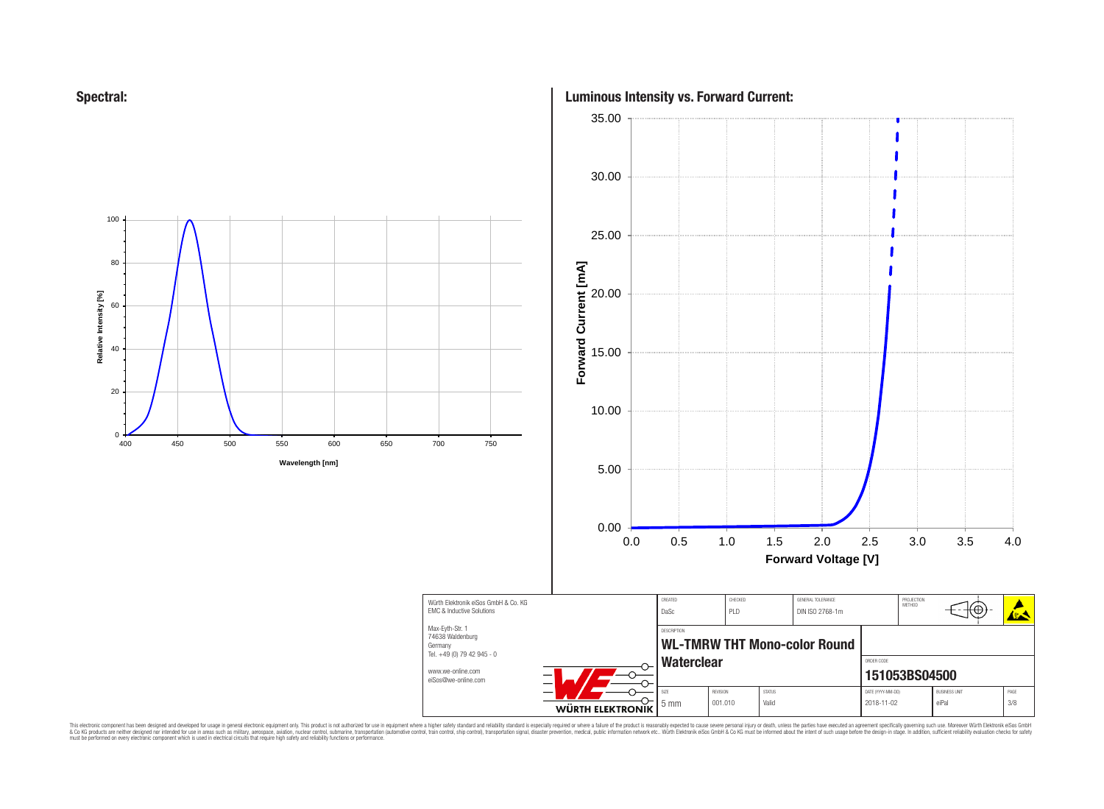



# **Luminous Intensity vs. Forward Current:** 35.00

⊕

**ARA** 

This electronic component has been designed and developed for usage in general electronic equipment only. This product is not authorized for subserved requipment where a higher selection equipment where a higher selection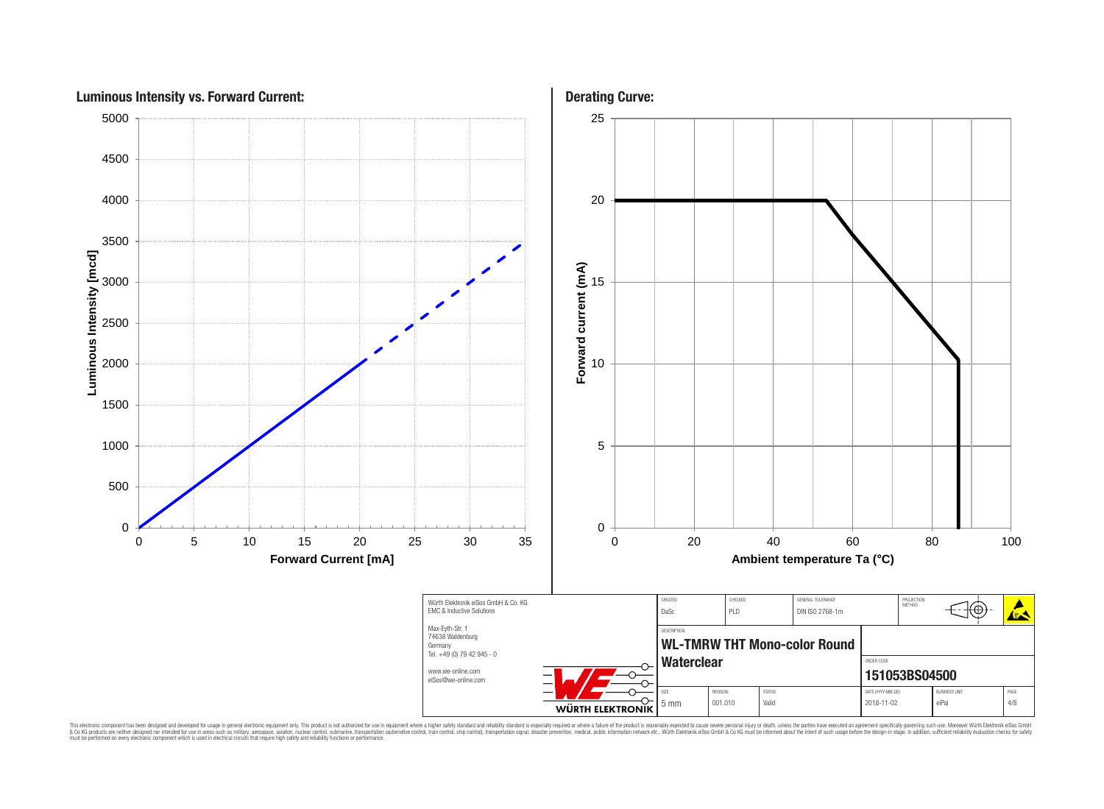

This electronic component has been designed and developed for usage in general electronic equipment only. This product is not authorized for subserved requipment where a higher selection equipment where a higher selection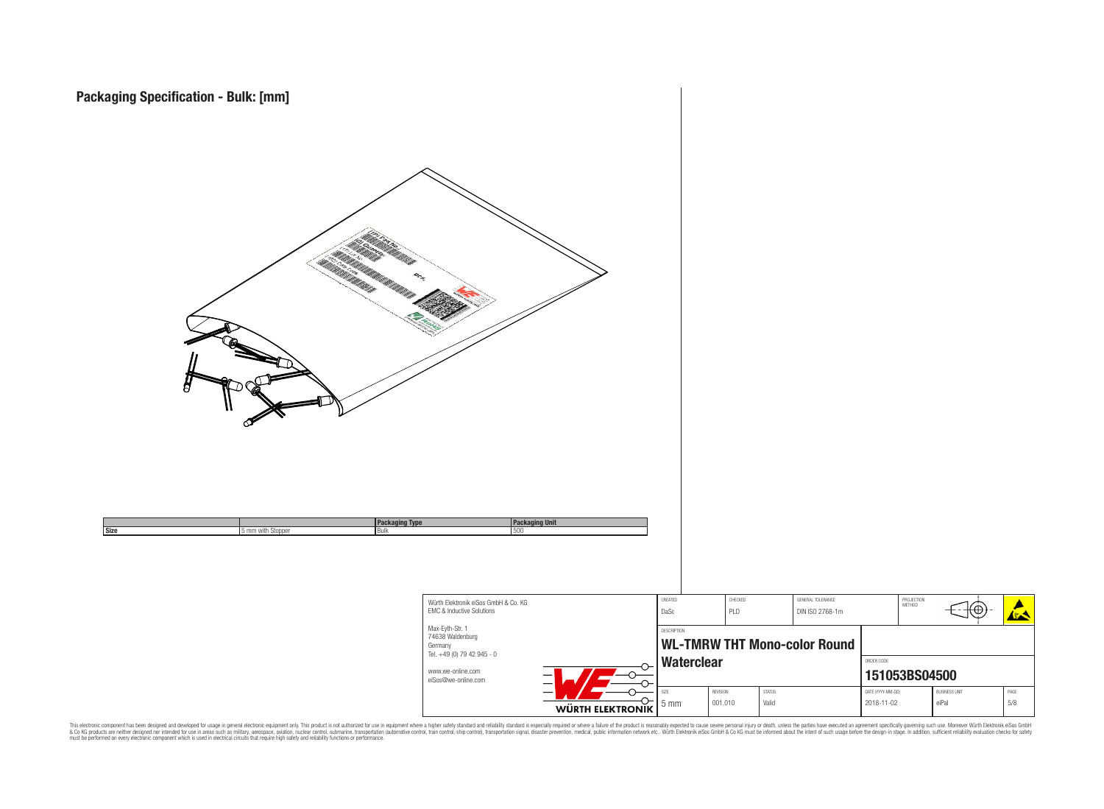

This electronic component has been designed and developed for usage in general electronic equipment only. This product is not authorized for subserved requipment where a higher selection equipment where a higher selection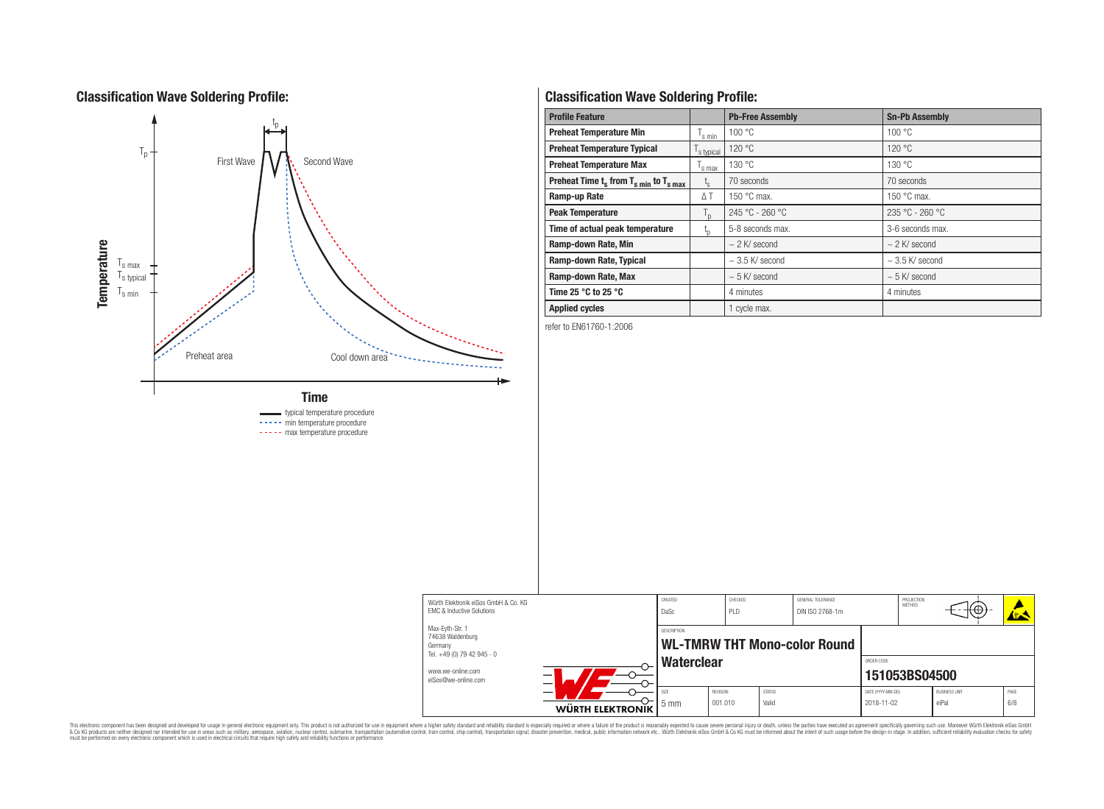## **Classification Wave Soldering Profile:**



# **Classification Wave Soldering Profile:**

| <b>Profile Feature</b>                             |                    | <b>Pb-Free Assembly</b> | <b>Sn-Pb Assembly</b> |  |  |
|----------------------------------------------------|--------------------|-------------------------|-----------------------|--|--|
| <b>Preheat Temperature Min</b>                     | $\mathsf{I}$ s min | 100 °C                  | 100 °C                |  |  |
| <b>Preheat Temperature Typical</b><br>s typical    |                    | 120 °C                  | 120 °C                |  |  |
| <b>Preheat Temperature Max</b>                     | 's max             | 130 °C                  | 130 °C                |  |  |
| Preheat Time $t_s$ from $T_{s min}$ to $T_{s max}$ | $t_{\rm s}$        | 70 seconds              | 70 seconds            |  |  |
| Ramp-up Rate                                       | $\Delta T$         |                         | 150 $\degree$ C max.  |  |  |
| <b>Peak Temperature</b>                            | $T_{n}$            | $245 °C - 260 °C$       | $235 °C - 260 °C$     |  |  |
| Time of actual peak temperature                    | ı,                 | 5-8 seconds max.        | 3-6 seconds max.      |  |  |
| Ramp-down Rate, Min                                |                    | $\sim$ 2 K/ second      | $\sim$ 2 K/ second    |  |  |
| Ramp-down Rate, Typical                            |                    | $\sim$ 3.5 K/ second    | $\sim$ 3.5 K/ second  |  |  |
| Ramp-down Rate, Max                                |                    | $\sim$ 5 K/ second      | $\sim$ 5 K/ second    |  |  |
| Time 25 $^{\circ}$ C to 25 $^{\circ}$ C            |                    | 4 minutes               | 4 minutes             |  |  |
| <b>Applied cycles</b>                              |                    | 1 cycle max.            |                       |  |  |

refer to EN61760-1:2006



This electronic component has been designed and developed for usage in general electronic equipment only. This product is not authorized for subserved requipment where a higher selection equipment where a higher selection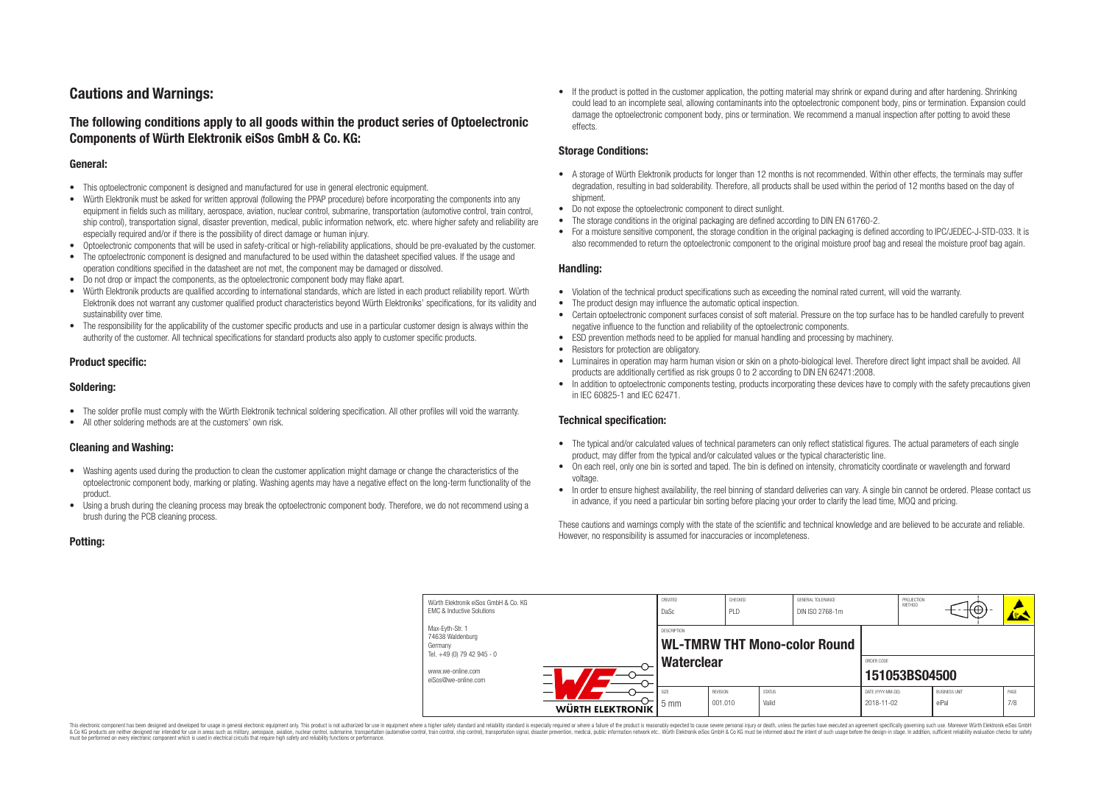## **Cautions and Warnings:**

## **The following conditions apply to all goods within the product series of Optoelectronic Components of Würth Elektronik eiSos GmbH & Co. KG:**

#### **General:**

- This optoelectronic component is designed and manufactured for use in general electronic equipment.
- Würth Elektronik must be asked for written approval (following the PPAP procedure) before incorporating the components into any equipment in fields such as military, aerospace, aviation, nuclear control, submarine, transportation (automotive control, train control, ship control), transportation signal, disaster prevention, medical, public information network, etc. where higher safety and reliability are especially required and/or if there is the possibility of direct damage or human injury.
- Optoelectronic components that will be used in safety-critical or high-reliability applications, should be pre-evaluated by the customer.
- The optoelectronic component is designed and manufactured to be used within the datasheet specified values. If the usage and operation conditions specified in the datasheet are not met, the component may be damaged or dissolved.
- Do not drop or impact the components, as the optoelectronic component body may flake apart.
- Würth Elektronik products are qualified according to international standards, which are listed in each product reliability report. Würth Elektronik does not warrant any customer qualified product characteristics beyond Würth Elektroniks' specifications, for its validity and sustainability over time.
- The responsibility for the applicability of the customer specific products and use in a particular customer design is always within the authority of the customer. All technical specifications for standard products also apply to customer specific products.

### **Product specific:**

#### **Soldering:**

- The solder profile must comply with the Würth Elektronik technical soldering specification. All other profiles will void the warranty.
- All other soldering methods are at the customers' own risk.

### **Cleaning and Washing:**

- Washing agents used during the production to clean the customer application might damage or change the characteristics of the optoelectronic component body, marking or plating. Washing agents may have a negative effect on the long-term functionality of the product.
- Using a brush during the cleaning process may break the optoelectronic component body. Therefore, we do not recommend using a brush during the PCB cleaning process.

• If the product is potted in the customer application, the potting material may shrink or expand during and after hardening. Shrinking could lead to an incomplete seal, allowing contaminants into the optoelectronic component body, pins or termination. Expansion could damage the optoelectronic component body, pins or termination. We recommend a manual inspection after potting to avoid these effects.

#### **Storage Conditions:**

- A storage of Würth Elektronik products for longer than 12 months is not recommended. Within other effects, the terminals may suffer degradation, resulting in bad solderability. Therefore, all products shall be used within the period of 12 months based on the day of shipment.
- Do not expose the optoelectronic component to direct sunlight.
- The storage conditions in the original packaging are defined according to DIN EN 61760-2.
- For a moisture sensitive component, the storage condition in the original packaging is defined according to IPC/JEDEC-J-STD-033. It is also recommended to return the optoelectronic component to the original moisture proof bag and reseal the moisture proof bag again.

#### **Handling:**

- Violation of the technical product specifications such as exceeding the nominal rated current, will void the warranty.
- The product design may influence the automatic optical inspection.
- Certain optoelectronic component surfaces consist of soft material. Pressure on the top surface has to be handled carefully to prevent negative influence to the function and reliability of the optoelectronic components.
- ESD prevention methods need to be applied for manual handling and processing by machinery.
- Resistors for protection are obligatory.
- Luminaires in operation may harm human vision or skin on a photo-biological level. Therefore direct light impact shall be avoided. All products are additionally certified as risk groups 0 to 2 according to DIN EN 62471:2008.
- In addition to optoelectronic components testing, products incorporating these devices have to comply with the safety precautions given in IEC 60825-1 and IEC 62471.

#### **Technical specification:**

- The typical and/or calculated values of technical parameters can only reflect statistical figures. The actual parameters of each single product, may differ from the typical and/or calculated values or the typical characteristic line.
- On each reel, only one bin is sorted and taped. The bin is defined on intensity, chromaticity coordinate or wavelength and forward voltage.
- In order to ensure highest availability, the reel binning of standard deliveries can vary. A single bin cannot be ordered. Please contact us in advance, if you need a particular bin sorting before placing your order to clarify the lead time, MOQ and pricing.

These cautions and warnings comply with the state of the scientific and technical knowledge and are believed to be accurate and reliable. However, no responsibility is assumed for inaccuracies or incompleteness.

| ш<br>П |  |
|--------|--|
|--------|--|

|                                                                              | Würth Elektronik eiSos GmbH & Co. KG<br><b>EMC &amp; Inductive Solutions</b> |                  | CREATED<br>DaSc                                    | CHECKED<br>PLD      |                        | GENERAL TOLERANCE<br>DIN ISO 2768-1m |                                 | PROJECTION<br>METHOD | $+(+)$                        |             |
|------------------------------------------------------------------------------|------------------------------------------------------------------------------|------------------|----------------------------------------------------|---------------------|------------------------|--------------------------------------|---------------------------------|----------------------|-------------------------------|-------------|
| Max-Eyth-Str. 1<br>74638 Waldenburg<br>Germany<br>Tel. +49 (0) 79 42 945 - 0 |                                                                              |                  | DESCRIPTION<br><b>WL-TMRW THT Mono-color Round</b> |                     |                        |                                      |                                 |                      |                               |             |
|                                                                              | www.we-online.com<br>eiSos@we-online.com                                     | —<br>—           |                                                    | <b>Waterclear</b>   |                        |                                      | ORDER CODE<br>151053BS04500     |                      |                               |             |
|                                                                              |                                                                              | WÜRTH ELEKTRONIK | SI <sub>7</sub> F<br>l 5 mm                        | REVISION<br>001.010 | <b>STATUS</b><br>Valid |                                      | DATE (YYYY-MM-DD)<br>2018-11-02 |                      | <b>BUSINESS UNIT</b><br>eiPal | PAGE<br>7/8 |

This electronic component has been designed and developed for usage in general electronic equipment only. This product is not authorized for use in equipment where a higher safety standard and reliability standard si espec & Ook product a label and the membed of the seasuch as marked and as which such a membed and the such assume that income in the seasuch and the simulation and the such assume that include to the such a membed and the such